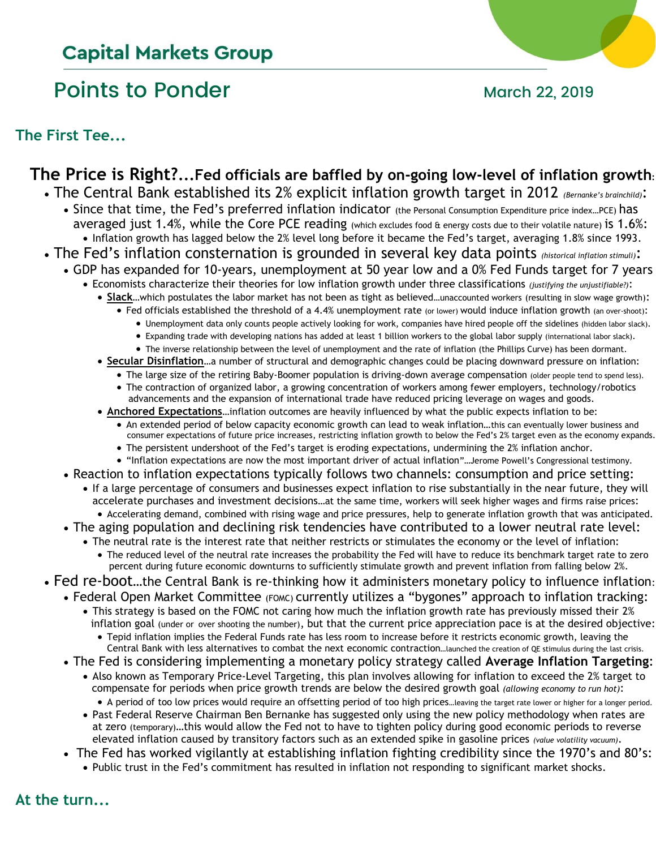# **Capital Markets Group**

# Points to Ponder March 22, 2019



**The First Tee...**

## **The Price is Right?...Fed officials are baffled by on-going low-level of inflation growth:**

- The Central Bank established its 2% explicit inflation growth target in 2012 *(Bernanke's brainchild)*:
	- Since that time, the Fed's preferred inflation indicator (the Personal Consumption Expenditure price index…PCE) has averaged just 1.4%, while the Core PCE reading (which excludes food & energy costs due to their volatile nature) is 1.6%: • Inflation growth has lagged below the 2% level long before it became the Fed's target, averaging 1.8% since 1993.
- The Fed's inflation consternation is grounded in several key data points *(historical inflation stimuli)*:
	- GDP has expanded for 10-years, unemployment at 50 year low and a 0% Fed Funds target for 7 years
		- Economists characterize their theories for low inflation growth under three classifications *(justifying the unjustifiable?)*:
		- **Slack**…which postulates the labor market has not been as tight as believed…unaccounted workers (resulting in slow wage growth):
			- Fed officials established the threshold of a 4.4% unemployment rate (or lower) would induce inflation growth (an over-shoot):
				- Unemployment data only counts people actively looking for work, companies have hired people off the sidelines (hidden labor slack).
				- Expanding trade with developing nations has added at least 1 billion workers to the global labor supply (international labor slack).
				- The inverse relationship between the level of unemployment and the rate of inflation (the Phillips Curve) has been dormant.
			- **Secular Disinflation**…a number of structural and demographic changes could be placing downward pressure on inflation:
				- The large size of the retiring Baby-Boomer population is driving-down average compensation (older people tend to spend less).
				- The contraction of organized labor, a growing concentration of workers among fewer employers, technology/robotics advancements and the expansion of international trade have reduced pricing leverage on wages and goods.
			- **Anchored Expectations**…inflation outcomes are heavily influenced by what the public expects inflation to be:
				- An extended period of below capacity economic growth can lead to weak inflation…this can eventually lower business and consumer expectations of future price increases, restricting inflation growth to below the Fed's 2% target even as the economy expands.
				- The persistent undershoot of the Fed's target is eroding expectations, undermining the 2% inflation anchor.
				- "Inflation expectations are now the most important driver of actual inflation"…Jerome Powell's Congressional testimony.
		- Reaction to inflation expectations typically follows two channels: consumption and price setting:
			- If a large percentage of consumers and businesses expect inflation to rise substantially in the near future, they will accelerate purchases and investment decisions…at the same time, workers will seek higher wages and firms raise prices: • Accelerating demand, combined with rising wage and price pressures, help to generate inflation growth that was anticipated.
		- The aging population and declining risk tendencies have contributed to a lower neutral rate level:
			- The neutral rate is the interest rate that neither restricts or stimulates the economy or the level of inflation:
				- The reduced level of the neutral rate increases the probability the Fed will have to reduce its benchmark target rate to zero percent during future economic downturns to sufficiently stimulate growth and prevent inflation from falling below 2%.
- Fed re-boot…the Central Bank is re-thinking how it administers monetary policy to influence inflation:
	- Federal Open Market Committee (FOMC) currently utilizes a "bygones" approach to inflation tracking:
		- This strategy is based on the FOMC not caring how much the inflation growth rate has previously missed their 2% inflation goal (under or over shooting the number), but that the current price appreciation pace is at the desired objective:
			- Tepid inflation implies the Federal Funds rate has less room to increase before it restricts economic growth, leaving the Central Bank with less alternatives to combat the next economic contraction…launched the creation of QE stimulus during the last crisis.
		- The Fed is considering implementing a monetary policy strategy called **Average Inflation Targeting**:
			- Also known as Temporary Price-Level Targeting, this plan involves allowing for inflation to exceed the 2% target to compensate for periods when price growth trends are below the desired growth goal *(allowing economy to run hot)*:
			- A period of too low prices would require an offsetting period of too high prices…leaving the target rate lower or higher for a longer period.
			- Past Federal Reserve Chairman Ben Bernanke has suggested only using the new policy methodology when rates are at zero (temporary)…this would allow the Fed not to have to tighten policy during good economic periods to reverse elevated inflation caused by transitory factors such as an extended spike in gasoline prices *(value volatility vacuum)*.
		- The Fed has worked vigilantly at establishing inflation fighting credibility since the 1970's and 80's:
			- Public trust in the Fed's commitment has resulted in inflation not responding to significant market shocks.

**At the turn...**